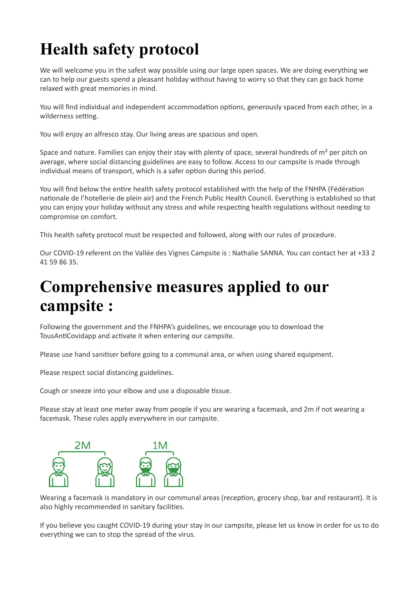# **Health safety protocol**

We will welcome you in the safest way possible using our large open spaces. We are doing everything we can to help our guests spend a pleasant holiday without having to worry so that they can go back home relaxed with great memories in mind.

You will find individual and independent accommodation options, generously spaced from each other, in a wilderness setting.

You will enjoy an alfresco stay. Our living areas are spacious and open.

Space and nature. Families can enjoy their stay with plenty of space, several hundreds of m<sup>2</sup> per pitch on average, where social distancing guidelines are easy to follow. Access to our campsite is made through individual means of transport, which is a safer option during this period.

You will find below the entire health safety protocol established with the help of the FNHPA (Fédération nationale de l'hotellerie de plein air) and the French Public Health Council. Everything is established so that you can enjoy your holiday without any stress and while respecting health regulations without needing to compromise on comfort.

This health safety protocol must be respected and followed, along with our rules of procedure.

Our COVID-19 referent on the Vallée des Vignes Campsite is : Nathalie SANNA. You can contact her at +33 2 41 59 86 35.

#### **Comprehensive measures applied to our campsite :**

Following the government and the FNHPA's guidelines, we encourage you to download the TousAntiCovidapp and activate it when entering our campsite.

Please use hand sanitiser before going to a communal area, or when using shared equipment.

Please respect social distancing guidelines.

Cough or sneeze into your elbow and use a disposable tissue.

Please stay at least one meter away from people if you are wearing a facemask, and 2m if not wearing a facemask. These rules apply everywhere in our campsite.



Wearing a facemask is mandatory in our communal areas (reception, grocery shop, bar and restaurant). It is also highly recommended in sanitary facilities.

If you believe you caught COVID-19 during your stay in our campsite, please let us know in order for us to do everything we can to stop the spread of the virus.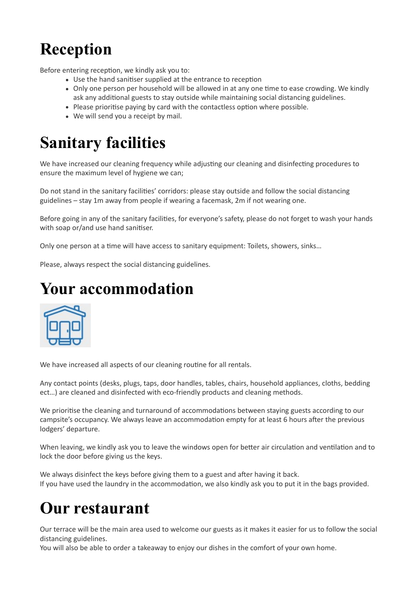## **Reception**

Before entering reception, we kindly ask you to:

- Use the hand sanitiser supplied at the entrance to reception
- Only one person per household will be allowed in at any one time to ease crowding. We kindly ask any additional guests to stay outside while maintaining social distancing guidelines.
- Please prioritise paying by card with the contactless option where possible.
- We will send you a receipt by mail.

#### **Sanitary facilities**

We have increased our cleaning frequency while adjusting our cleaning and disinfecting procedures to ensure the maximum level of hygiene we can;

Do not stand in the sanitary facilities' corridors: please stay outside and follow the social distancing guidelines – stay 1m away from people if wearing a facemask, 2m if not wearing one.

Before going in any of the sanitary facilities, for everyone's safety, please do not forget to wash your hands with soap or/and use hand sanitiser.

Only one person at a time will have access to sanitary equipment: Toilets, showers, sinks…

Please, always respect the social distancing guidelines.

#### **Your accommodation**



We have increased all aspects of our cleaning routine for all rentals.

Any contact points (desks, plugs, taps, door handles, tables, chairs, household appliances, cloths, bedding ect…) are cleaned and disinfected with eco-friendly products and cleaning methods.

We prioritise the cleaning and turnaround of accommodations between staying guests according to our campsite's occupancy. We always leave an accommodation empty for at least 6 hours after the previous lodgers' departure.

When leaving, we kindly ask you to leave the windows open for better air circulation and ventilation and to lock the door before giving us the keys.

We always disinfect the keys before giving them to a guest and after having it back. If you have used the laundry in the accommodation, we also kindly ask you to put it in the bags provided.

### **Our restaurant**

Our terrace will be the main area used to welcome our guests as it makes it easier for us to follow the social distancing guidelines.

You will also be able to order a takeaway to enjoy our dishes in the comfort of your own home.